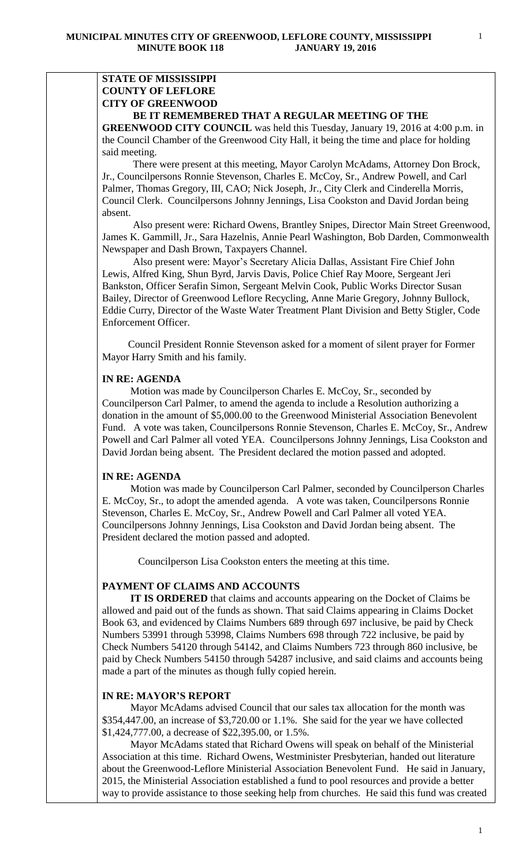# **STATE OF MISSISSIPPI COUNTY OF LEFLORE CITY OF GREENWOOD**

## **BE IT REMEMBERED THAT A REGULAR MEETING OF THE**

**GREENWOOD CITY COUNCIL** was held this Tuesday, January 19, 2016 at 4:00 p.m. in the Council Chamber of the Greenwood City Hall, it being the time and place for holding said meeting.

There were present at this meeting, Mayor Carolyn McAdams, Attorney Don Brock, Jr., Councilpersons Ronnie Stevenson, Charles E. McCoy, Sr., Andrew Powell, and Carl Palmer, Thomas Gregory, III, CAO; Nick Joseph, Jr., City Clerk and Cinderella Morris, Council Clerk. Councilpersons Johnny Jennings, Lisa Cookston and David Jordan being absent.

 Also present were: Richard Owens, Brantley Snipes, Director Main Street Greenwood, James K. Gammill, Jr., Sara Hazelnis, Annie Pearl Washington, Bob Darden, Commonwealth Newspaper and Dash Brown, Taxpayers Channel.

 Also present were: Mayor's Secretary Alicia Dallas, Assistant Fire Chief John Lewis, Alfred King, Shun Byrd, Jarvis Davis, Police Chief Ray Moore, Sergeant Jeri Bankston, Officer Serafin Simon, Sergeant Melvin Cook, Public Works Director Susan Bailey, Director of Greenwood Leflore Recycling, Anne Marie Gregory, Johnny Bullock, Eddie Curry, Director of the Waste Water Treatment Plant Division and Betty Stigler, Code Enforcement Officer.

 Council President Ronnie Stevenson asked for a moment of silent prayer for Former Mayor Harry Smith and his family.

## **IN RE: AGENDA**

 Motion was made by Councilperson Charles E. McCoy, Sr., seconded by Councilperson Carl Palmer, to amend the agenda to include a Resolution authorizing a donation in the amount of \$5,000.00 to the Greenwood Ministerial Association Benevolent Fund. A vote was taken, Councilpersons Ronnie Stevenson, Charles E. McCoy, Sr., Andrew Powell and Carl Palmer all voted YEA. Councilpersons Johnny Jennings, Lisa Cookston and David Jordan being absent. The President declared the motion passed and adopted.

## **IN RE: AGENDA**

 Motion was made by Councilperson Carl Palmer, seconded by Councilperson Charles E. McCoy, Sr., to adopt the amended agenda. A vote was taken, Councilpersons Ronnie Stevenson, Charles E. McCoy, Sr., Andrew Powell and Carl Palmer all voted YEA. Councilpersons Johnny Jennings, Lisa Cookston and David Jordan being absent. The President declared the motion passed and adopted.

Councilperson Lisa Cookston enters the meeting at this time.

## **PAYMENT OF CLAIMS AND ACCOUNTS**

 **IT IS ORDERED** that claims and accounts appearing on the Docket of Claims be allowed and paid out of the funds as shown. That said Claims appearing in Claims Docket Book 63, and evidenced by Claims Numbers 689 through 697 inclusive, be paid by Check Numbers 53991 through 53998, Claims Numbers 698 through 722 inclusive, be paid by Check Numbers 54120 through 54142, and Claims Numbers 723 through 860 inclusive, be paid by Check Numbers 54150 through 54287 inclusive, and said claims and accounts being made a part of the minutes as though fully copied herein.

## **IN RE: MAYOR'S REPORT**

 Mayor McAdams advised Council that our sales tax allocation for the month was \$354,447.00, an increase of \$3,720.00 or 1.1%. She said for the year we have collected \$1,424,777.00, a decrease of \$22,395.00, or 1.5%.

 Mayor McAdams stated that Richard Owens will speak on behalf of the Ministerial Association at this time. Richard Owens, Westminister Presbyterian, handed out literature about the Greenwood-Leflore Ministerial Association Benevolent Fund. He said in January, 2015, the Ministerial Association established a fund to pool resources and provide a better way to provide assistance to those seeking help from churches. He said this fund was created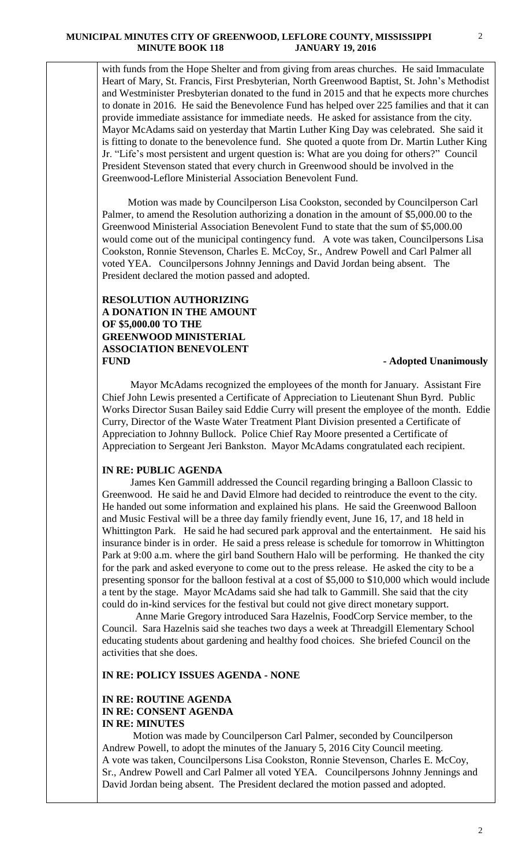with funds from the Hope Shelter and from giving from areas churches. He said Immaculate Heart of Mary, St. Francis, First Presbyterian, North Greenwood Baptist, St. John's Methodist and Westminister Presbyterian donated to the fund in 2015 and that he expects more churches to donate in 2016. He said the Benevolence Fund has helped over 225 families and that it can provide immediate assistance for immediate needs. He asked for assistance from the city. Mayor McAdams said on yesterday that Martin Luther King Day was celebrated. She said it is fitting to donate to the benevolence fund. She quoted a quote from Dr. Martin Luther King Jr. "Life's most persistent and urgent question is: What are you doing for others?" Council President Stevenson stated that every church in Greenwood should be involved in the Greenwood-Leflore Ministerial Association Benevolent Fund.

 Motion was made by Councilperson Lisa Cookston, seconded by Councilperson Carl Palmer, to amend the Resolution authorizing a donation in the amount of \$5,000.00 to the Greenwood Ministerial Association Benevolent Fund to state that the sum of \$5,000.00 would come out of the municipal contingency fund. A vote was taken, Councilpersons Lisa Cookston, Ronnie Stevenson, Charles E. McCoy, Sr., Andrew Powell and Carl Palmer all voted YEA. Councilpersons Johnny Jennings and David Jordan being absent. The President declared the motion passed and adopted.

## **RESOLUTION AUTHORIZING A DONATION IN THE AMOUNT OF \$5,000.00 TO THE GREENWOOD MINISTERIAL ASSOCIATION BENEVOLENT FUND - Adopted Unanimously**

 Mayor McAdams recognized the employees of the month for January. Assistant Fire Chief John Lewis presented a Certificate of Appreciation to Lieutenant Shun Byrd. Public Works Director Susan Bailey said Eddie Curry will present the employee of the month. Eddie Curry, Director of the Waste Water Treatment Plant Division presented a Certificate of Appreciation to Johnny Bullock. Police Chief Ray Moore presented a Certificate of Appreciation to Sergeant Jeri Bankston. Mayor McAdams congratulated each recipient.

## **IN RE: PUBLIC AGENDA**

 James Ken Gammill addressed the Council regarding bringing a Balloon Classic to Greenwood. He said he and David Elmore had decided to reintroduce the event to the city. He handed out some information and explained his plans. He said the Greenwood Balloon and Music Festival will be a three day family friendly event, June 16, 17, and 18 held in Whittington Park. He said he had secured park approval and the entertainment. He said his insurance binder is in order. He said a press release is schedule for tomorrow in Whittington Park at 9:00 a.m. where the girl band Southern Halo will be performing. He thanked the city for the park and asked everyone to come out to the press release. He asked the city to be a presenting sponsor for the balloon festival at a cost of \$5,000 to \$10,000 which would include a tent by the stage. Mayor McAdams said she had talk to Gammill. She said that the city could do in-kind services for the festival but could not give direct monetary support.

 Anne Marie Gregory introduced Sara Hazelnis, FoodCorp Service member, to the Council. Sara Hazelnis said she teaches two days a week at Threadgill Elementary School educating students about gardening and healthy food choices. She briefed Council on the activities that she does.

## **IN RE: POLICY ISSUES AGENDA - NONE**

## **IN RE: ROUTINE AGENDA IN RE: CONSENT AGENDA IN RE: MINUTES**

 Motion was made by Councilperson Carl Palmer, seconded by Councilperson Andrew Powell, to adopt the minutes of the January 5, 2016 City Council meeting. A vote was taken, Councilpersons Lisa Cookston, Ronnie Stevenson, Charles E. McCoy, Sr., Andrew Powell and Carl Palmer all voted YEA. Councilpersons Johnny Jennings and David Jordan being absent. The President declared the motion passed and adopted.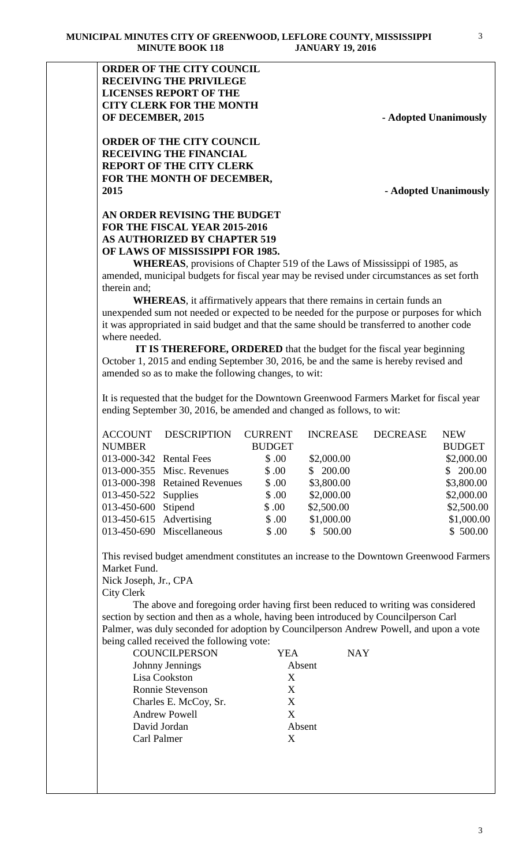**ORDER OF THE CITY COUNCIL RECEIVING THE PRIVILEGE LICENSES REPORT OF THE CITY CLERK FOR THE MONTH OF DECEMBER, 2015** - **Adopted Unanimously** 

**ORDER OF THE CITY COUNCIL RECEIVING THE FINANCIAL REPORT OF THE CITY CLERK FOR THE MONTH OF DECEMBER, 2015 - Adopted Unanimously**

# **AN ORDER REVISING THE BUDGET FOR THE FISCAL YEAR 2015-2016 AS AUTHORIZED BY CHAPTER 519 OF LAWS OF MISSISSIPPI FOR 1985.**

**WHEREAS**, provisions of Chapter 519 of the Laws of Mississippi of 1985, as amended, municipal budgets for fiscal year may be revised under circumstances as set forth therein and;

**WHEREAS**, it affirmatively appears that there remains in certain funds an unexpended sum not needed or expected to be needed for the purpose or purposes for which it was appropriated in said budget and that the same should be transferred to another code where needed.

 **IT IS THEREFORE, ORDERED** that the budget for the fiscal year beginning October 1, 2015 and ending September 30, 2016, be and the same is hereby revised and amended so as to make the following changes, to wit:

It is requested that the budget for the Downtown Greenwood Farmers Market for fiscal year ending September 30, 2016, be amended and changed as follows, to wit:

| <b>ACCOUNT</b>            | DESCRIPTION                   | <b>CURRENT</b> | <b>INCREASE</b> | <b>DECREASE</b> | <b>NEW</b>    |
|---------------------------|-------------------------------|----------------|-----------------|-----------------|---------------|
| <b>NUMBER</b>             |                               | <b>BUDGET</b>  |                 |                 | <b>BUDGET</b> |
| 013-000-342 Rental Fees   |                               | \$.00          | \$2,000.00      |                 | \$2,000.00    |
|                           | 013-000-355 Misc. Revenues    | \$.00          | \$200.00        |                 | \$200.00      |
|                           | 013-000-398 Retained Revenues | \$.00          | \$3,800.00      |                 | \$3,800.00    |
| 013-450-522 Supplies      |                               | \$.00          | \$2,000.00      |                 | \$2,000.00    |
| 013-450-600 Stipend       |                               | \$.00          | \$2,500.00      |                 | \$2,500.00    |
| $013-450-615$ Advertising |                               | \$.00          | \$1,000.00      |                 | \$1,000.00    |
|                           | 013-450-690 Miscellaneous     | \$.00          | \$500.00        |                 | \$500.00      |

This revised budget amendment constitutes an increase to the Downtown Greenwood Farmers Market Fund.

Nick Joseph, Jr., CPA City Clerk

 The above and foregoing order having first been reduced to writing was considered section by section and then as a whole, having been introduced by Councilperson Carl Palmer, was duly seconded for adoption by Councilperson Andrew Powell, and upon a vote being called received the following vote:

| <b>COUNCILPERSON</b>    | YEA    | <b>NAY</b> |
|-------------------------|--------|------------|
| Johnny Jennings         | Absent |            |
| Lisa Cookston           | X      |            |
| <b>Ronnie Stevenson</b> | X      |            |
| Charles E. McCoy, Sr.   | X      |            |
| <b>Andrew Powell</b>    | X      |            |
| David Jordan            | Absent |            |
| Carl Palmer             | Y      |            |
|                         |        |            |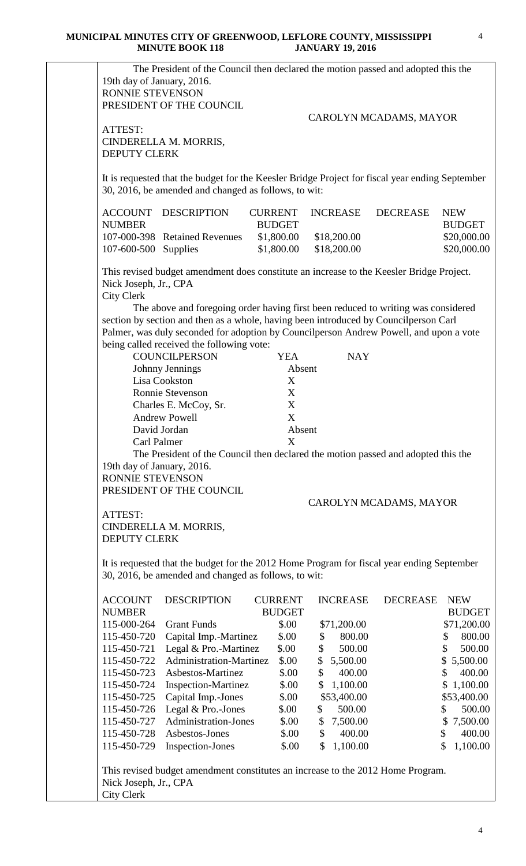| RONNIE STEVENSON                                                             |                                                                                                 |                |                        |                 |                                                                                                                 |
|------------------------------------------------------------------------------|-------------------------------------------------------------------------------------------------|----------------|------------------------|-----------------|-----------------------------------------------------------------------------------------------------------------|
|                                                                              | PRESIDENT OF THE COUNCIL                                                                        |                |                        |                 |                                                                                                                 |
|                                                                              |                                                                                                 |                | CAROLYN MCADAMS, MAYOR |                 |                                                                                                                 |
| ATTEST:                                                                      |                                                                                                 |                |                        |                 |                                                                                                                 |
| <b>DEPUTY CLERK</b>                                                          | CINDERELLA M. MORRIS,                                                                           |                |                        |                 |                                                                                                                 |
|                                                                              |                                                                                                 |                |                        |                 |                                                                                                                 |
|                                                                              | It is requested that the budget for the Keesler Bridge Project for fiscal year ending September |                |                        |                 |                                                                                                                 |
|                                                                              | 30, 2016, be amended and changed as follows, to wit:                                            |                |                        |                 |                                                                                                                 |
| ACCOUNT                                                                      | <b>DESCRIPTION</b>                                                                              | <b>CURRENT</b> | <b>INCREASE</b>        | <b>DECREASE</b> | <b>NEW</b>                                                                                                      |
| <b>NUMBER</b>                                                                |                                                                                                 | <b>BUDGET</b>  |                        |                 | <b>BUDGET</b>                                                                                                   |
|                                                                              | 107-000-398 Retained Revenues                                                                   | \$1,800.00     | \$18,200.00            |                 | \$20,000.00                                                                                                     |
| 107-600-500 Supplies                                                         |                                                                                                 | \$1,800.00     | \$18,200.00            |                 | \$20,000.00                                                                                                     |
|                                                                              | This revised budget amendment does constitute an increase to the Keesler Bridge Project.        |                |                        |                 |                                                                                                                 |
| Nick Joseph, Jr., CPA                                                        |                                                                                                 |                |                        |                 |                                                                                                                 |
| <b>City Clerk</b>                                                            |                                                                                                 |                |                        |                 |                                                                                                                 |
|                                                                              | The above and foregoing order having first been reduced to writing was considered               |                |                        |                 |                                                                                                                 |
|                                                                              | section by section and then as a whole, having been introduced by Councilperson Carl            |                |                        |                 |                                                                                                                 |
|                                                                              | Palmer, was duly seconded for adoption by Councilperson Andrew Powell, and upon a vote          |                |                        |                 |                                                                                                                 |
|                                                                              | being called received the following vote:                                                       |                |                        |                 |                                                                                                                 |
|                                                                              | <b>COUNCILPERSON</b>                                                                            | <b>YEA</b>     | <b>NAY</b>             |                 |                                                                                                                 |
|                                                                              | Johnny Jennings                                                                                 | Absent         |                        |                 |                                                                                                                 |
|                                                                              | Lisa Cookston                                                                                   | X              |                        |                 |                                                                                                                 |
|                                                                              | Ronnie Stevenson                                                                                | X<br>X         |                        |                 |                                                                                                                 |
|                                                                              | Charles E. McCoy, Sr.<br><b>Andrew Powell</b>                                                   | X              |                        |                 |                                                                                                                 |
|                                                                              | David Jordan                                                                                    | Absent         |                        |                 |                                                                                                                 |
| Carl Palmer                                                                  |                                                                                                 | X              |                        |                 |                                                                                                                 |
|                                                                              | The President of the Council then declared the motion passed and adopted this the               |                |                        |                 |                                                                                                                 |
| 19th day of January, 2016.                                                   |                                                                                                 |                |                        |                 |                                                                                                                 |
| RONNIE STEVENSON                                                             |                                                                                                 |                |                        |                 |                                                                                                                 |
|                                                                              | PRESIDENT OF THE COUNCIL                                                                        |                |                        |                 |                                                                                                                 |
|                                                                              |                                                                                                 |                | CAROLYN MCADAMS, MAYOR |                 |                                                                                                                 |
|                                                                              |                                                                                                 |                |                        |                 |                                                                                                                 |
| ATTEST:                                                                      |                                                                                                 |                |                        |                 |                                                                                                                 |
| CINDERELLA M. MORRIS,                                                        |                                                                                                 |                |                        |                 |                                                                                                                 |
| <b>DEPUTY CLERK</b>                                                          |                                                                                                 |                |                        |                 |                                                                                                                 |
|                                                                              |                                                                                                 |                |                        |                 |                                                                                                                 |
|                                                                              | It is requested that the budget for the 2012 Home Program for fiscal year ending September      |                |                        |                 |                                                                                                                 |
|                                                                              | 30, 2016, be amended and changed as follows, to wit:                                            |                |                        |                 |                                                                                                                 |
|                                                                              | <b>DESCRIPTION</b>                                                                              | <b>CURRENT</b> | <b>INCREASE</b>        | <b>DECREASE</b> |                                                                                                                 |
|                                                                              |                                                                                                 | <b>BUDGET</b>  |                        |                 |                                                                                                                 |
|                                                                              | <b>Grant Funds</b>                                                                              | \$.00          | \$71,200.00            |                 |                                                                                                                 |
|                                                                              | Capital Imp.-Martinez                                                                           | \$.00          | 800.00<br>\$           |                 | \$                                                                                                              |
|                                                                              | Legal & Pro.-Martinez                                                                           | \$.00          | \$<br>500.00           |                 | \$                                                                                                              |
| 115-000-264<br>115-450-720                                                   | Administration-Martinez                                                                         | \$.00          | \$<br>5,500.00         |                 | \$                                                                                                              |
| 115-450-723                                                                  | Asbestos-Martinez                                                                               | \$.00          | \$<br>400.00           |                 | \$                                                                                                              |
| <b>ACCOUNT</b><br><b>NUMBER</b><br>115-450-721<br>115-450-722<br>115-450-724 | Inspection-Martinez                                                                             | \$.00          | \$<br>1,100.00         |                 | \$                                                                                                              |
| 115-450-725                                                                  | Capital Imp.-Jones                                                                              | \$.00          | \$53,400.00            |                 | <b>NEW</b><br><b>BUDGET</b><br>\$71,200.00<br>800.00<br>500.00<br>5,500.00<br>400.00<br>1,100.00<br>\$53,400.00 |
| 115-450-726                                                                  | Legal & Pro.-Jones                                                                              | \$.00          | 500.00<br>\$           |                 | \$                                                                                                              |
|                                                                              | <b>Administration-Jones</b>                                                                     | \$.00          | 7,500.00<br>\$         |                 | 7,500.00<br>\$                                                                                                  |
| 115-450-727<br>115-450-728                                                   | Asbestos-Jones                                                                                  | \$.00          | \$<br>400.00           |                 | 400.00<br>\$                                                                                                    |

City Clerk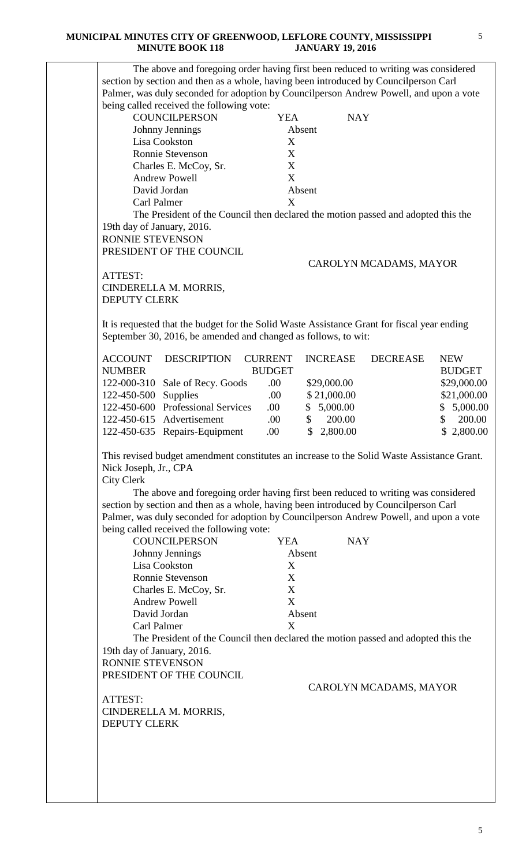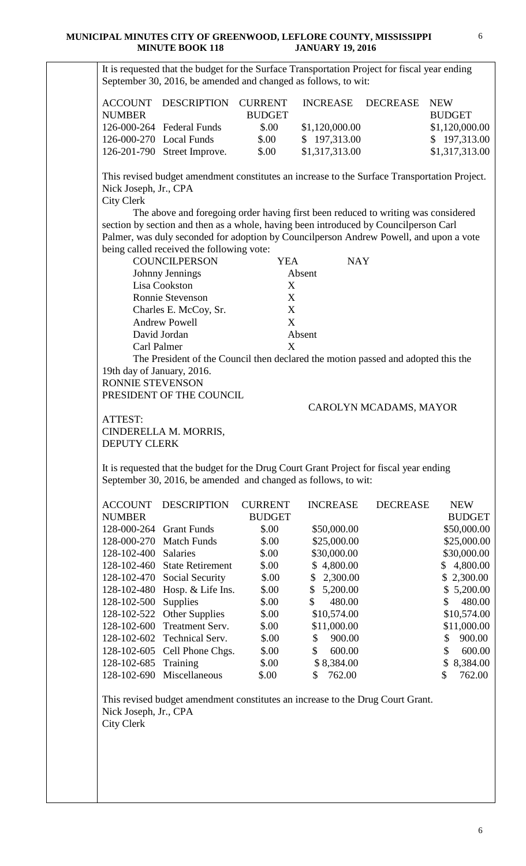| <b>ACCOUNT</b><br><b>NUMBER</b>                                                         | DESCRIPTION CURRENT                                                                                                                                                                                                                                                                                                                                                                                                                                                                                                                                                                                                                                           | <b>BUDGET</b>                       | <b>INCREASE</b>                      | <b>DECREASE</b>        | <b>NEW</b><br><b>BUDGET</b>    |
|-----------------------------------------------------------------------------------------|---------------------------------------------------------------------------------------------------------------------------------------------------------------------------------------------------------------------------------------------------------------------------------------------------------------------------------------------------------------------------------------------------------------------------------------------------------------------------------------------------------------------------------------------------------------------------------------------------------------------------------------------------------------|-------------------------------------|--------------------------------------|------------------------|--------------------------------|
|                                                                                         | 126-000-264 Federal Funds                                                                                                                                                                                                                                                                                                                                                                                                                                                                                                                                                                                                                                     | \$.00                               | \$1,120,000.00                       |                        | \$1,120,000.00                 |
| 126-000-270 Local Funds                                                                 |                                                                                                                                                                                                                                                                                                                                                                                                                                                                                                                                                                                                                                                               | \$.00                               | \$197,313.00                         |                        | \$197,313.00                   |
|                                                                                         | 126-201-790 Street Improve.                                                                                                                                                                                                                                                                                                                                                                                                                                                                                                                                                                                                                                   | \$.00                               | \$1,317,313.00                       |                        | \$1,317,313.00                 |
| Nick Joseph, Jr., CPA<br><b>City Clerk</b><br>Carl Palmer<br>19th day of January, 2016. | This revised budget amendment constitutes an increase to the Surface Transportation Project.<br>The above and foregoing order having first been reduced to writing was considered<br>section by section and then as a whole, having been introduced by Councilperson Carl<br>Palmer, was duly seconded for adoption by Councilperson Andrew Powell, and upon a vote<br>being called received the following vote:<br><b>COUNCILPERSON</b><br>Johnny Jennings<br>Lisa Cookston<br><b>Ronnie Stevenson</b><br>Charles E. McCoy, Sr.<br><b>Andrew Powell</b><br>David Jordan<br>The President of the Council then declared the motion passed and adopted this the | <b>YEA</b><br>X<br>X<br>X<br>X<br>X | <b>NAY</b><br>Absent<br>Absent       |                        |                                |
| PRESIDENT OF THE COUNCIL                                                                |                                                                                                                                                                                                                                                                                                                                                                                                                                                                                                                                                                                                                                                               |                                     |                                      |                        |                                |
| ATTEST:<br><b>DEPUTY CLERK</b>                                                          | CINDERELLA M. MORRIS,                                                                                                                                                                                                                                                                                                                                                                                                                                                                                                                                                                                                                                         |                                     |                                      | CAROLYN MCADAMS, MAYOR |                                |
|                                                                                         | It is requested that the budget for the Drug Court Grant Project for fiscal year ending<br>September 30, 2016, be amended and changed as follows, to wit:                                                                                                                                                                                                                                                                                                                                                                                                                                                                                                     |                                     |                                      |                        |                                |
| <b>ACCOUNT</b><br><b>NUMBER</b>                                                         | <b>DESCRIPTION</b>                                                                                                                                                                                                                                                                                                                                                                                                                                                                                                                                                                                                                                            | <b>CURRENT</b><br><b>BUDGET</b>     | <b>INCREASE</b>                      | <b>DECREASE</b>        | <b>NEW</b><br><b>BUDGET</b>    |
| 128-000-264                                                                             | <b>Grant Funds</b>                                                                                                                                                                                                                                                                                                                                                                                                                                                                                                                                                                                                                                            | \$.00                               | \$50,000.00                          |                        | \$50,000.00                    |
|                                                                                         | 128-000-270 Match Funds                                                                                                                                                                                                                                                                                                                                                                                                                                                                                                                                                                                                                                       | \$.00                               | \$25,000.00                          |                        | \$25,000.00                    |
| 128-102-400 Salaries                                                                    |                                                                                                                                                                                                                                                                                                                                                                                                                                                                                                                                                                                                                                                               | \$.00                               | \$30,000.00                          |                        |                                |
| 128-102-460                                                                             | <b>State Retirement</b>                                                                                                                                                                                                                                                                                                                                                                                                                                                                                                                                                                                                                                       | \$.00                               | 4,800.00<br>$\mathbb{S}^-$           |                        | \$30,000.00<br>4,800.00<br>\$  |
|                                                                                         | 128-102-470 Social Security                                                                                                                                                                                                                                                                                                                                                                                                                                                                                                                                                                                                                                   | \$.00                               | 2,300.00<br>\$                       |                        | \$2,300.00                     |
|                                                                                         | 128-102-480 Hosp. & Life Ins.                                                                                                                                                                                                                                                                                                                                                                                                                                                                                                                                                                                                                                 | \$00                                | $\mathsf{\$}$<br>5,200.00            |                        | \$5,200.00                     |
|                                                                                         |                                                                                                                                                                                                                                                                                                                                                                                                                                                                                                                                                                                                                                                               |                                     | 480.00<br>\$                         |                        | 480.00<br>\$                   |
| 128-102-500                                                                             | Supplies                                                                                                                                                                                                                                                                                                                                                                                                                                                                                                                                                                                                                                                      | \$.00                               |                                      |                        |                                |
|                                                                                         | 128-102-522 Other Supplies                                                                                                                                                                                                                                                                                                                                                                                                                                                                                                                                                                                                                                    | \$.00                               | \$10,574.00                          |                        | \$10,574.00                    |
| 128-102-600                                                                             | Treatment Serv.                                                                                                                                                                                                                                                                                                                                                                                                                                                                                                                                                                                                                                               | \$.00                               | \$11,000.00                          |                        | \$11,000.00                    |
| 128-102-602                                                                             | Technical Serv.                                                                                                                                                                                                                                                                                                                                                                                                                                                                                                                                                                                                                                               | \$.00                               | 900.00<br>\$                         |                        | 900.00<br>\$                   |
| 128-102-685                                                                             | 128-102-605 Cell Phone Chgs.<br>Training                                                                                                                                                                                                                                                                                                                                                                                                                                                                                                                                                                                                                      | \$00<br>\$.00                       | $\mathbb{S}$<br>600.00<br>\$8,384.00 |                        | \$<br>600.00<br>8,384.00<br>\$ |
|                                                                                         |                                                                                                                                                                                                                                                                                                                                                                                                                                                                                                                                                                                                                                                               |                                     |                                      |                        |                                |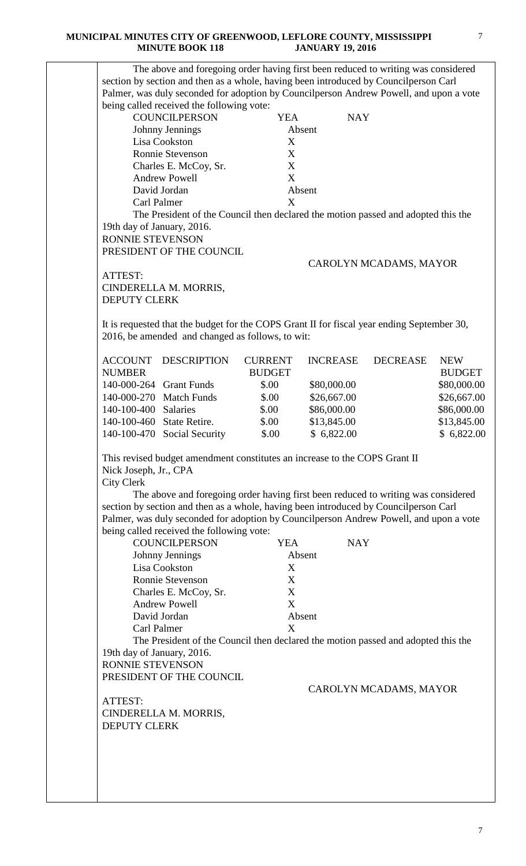|                                | The above and foregoing order having first been reduced to writing was considered          |                |                 |                        |               |
|--------------------------------|--------------------------------------------------------------------------------------------|----------------|-----------------|------------------------|---------------|
|                                | section by section and then as a whole, having been introduced by Councilperson Carl       |                |                 |                        |               |
|                                | Palmer, was duly seconded for adoption by Councilperson Andrew Powell, and upon a vote     |                |                 |                        |               |
|                                | being called received the following vote:                                                  |                |                 |                        |               |
|                                | <b>COUNCILPERSON</b>                                                                       | <b>YEA</b>     | <b>NAY</b>      |                        |               |
|                                | Johnny Jennings                                                                            |                | Absent          |                        |               |
|                                | Lisa Cookston                                                                              | X              |                 |                        |               |
|                                | <b>Ronnie Stevenson</b>                                                                    | X              |                 |                        |               |
|                                | Charles E. McCoy, Sr.<br><b>Andrew Powell</b>                                              | X<br>X         |                 |                        |               |
|                                | David Jordan                                                                               |                | Absent          |                        |               |
| Carl Palmer                    |                                                                                            | X              |                 |                        |               |
|                                | The President of the Council then declared the motion passed and adopted this the          |                |                 |                        |               |
| 19th day of January, 2016.     |                                                                                            |                |                 |                        |               |
| RONNIE STEVENSON               |                                                                                            |                |                 |                        |               |
|                                | PRESIDENT OF THE COUNCIL                                                                   |                |                 |                        |               |
|                                |                                                                                            |                |                 | CAROLYN MCADAMS, MAYOR |               |
| ATTEST:                        |                                                                                            |                |                 |                        |               |
|                                | CINDERELLA M. MORRIS,                                                                      |                |                 |                        |               |
| <b>DEPUTY CLERK</b>            |                                                                                            |                |                 |                        |               |
|                                |                                                                                            |                |                 |                        |               |
|                                | It is requested that the budget for the COPS Grant II for fiscal year ending September 30, |                |                 |                        |               |
|                                | 2016, be amended and changed as follows, to wit:                                           |                |                 |                        |               |
| <b>ACCOUNT</b>                 | <b>DESCRIPTION</b>                                                                         | <b>CURRENT</b> | <b>INCREASE</b> | <b>DECREASE</b>        | <b>NEW</b>    |
| <b>NUMBER</b>                  |                                                                                            | <b>BUDGET</b>  |                 |                        | <b>BUDGET</b> |
|                                | 140-000-264 Grant Funds                                                                    | \$.00          | \$80,000.00     |                        | \$80,000.00   |
|                                | 140-000-270 Match Funds                                                                    | \$.00          | \$26,667.00     |                        | \$26,667.00   |
| 140-100-400 Salaries           |                                                                                            | \$.00          | \$86,000.00     |                        | \$86,000.00   |
|                                | 140-100-460 State Retire.                                                                  | \$.00          | \$13,845.00     |                        | \$13,845.00   |
| 140-100-470                    | Social Security                                                                            | \$.00          | \$6,822.00      |                        | \$6,822.00    |
|                                |                                                                                            |                |                 |                        |               |
|                                | This revised budget amendment constitutes an increase to the COPS Grant II                 |                |                 |                        |               |
| Nick Joseph, Jr., CPA          |                                                                                            |                |                 |                        |               |
| <b>City Clerk</b>              |                                                                                            |                |                 |                        |               |
|                                | The above and foregoing order having first been reduced to writing was considered          |                |                 |                        |               |
|                                | section by section and then as a whole, having been introduced by Council person Carl      |                |                 |                        |               |
|                                | Palmer, was duly seconded for adoption by Councilperson Andrew Powell, and upon a vote     |                |                 |                        |               |
|                                | being called received the following vote:                                                  |                |                 |                        |               |
|                                | <b>COUNCILPERSON</b>                                                                       | <b>YEA</b>     | <b>NAY</b>      |                        |               |
|                                | Johnny Jennings                                                                            |                | Absent          |                        |               |
|                                | Lisa Cookston                                                                              | X              |                 |                        |               |
|                                | Ronnie Stevenson                                                                           | X              |                 |                        |               |
|                                | Charles E. McCoy, Sr.                                                                      | X              |                 |                        |               |
|                                | <b>Andrew Powell</b>                                                                       | X              |                 |                        |               |
|                                | David Jordan                                                                               |                | Absent          |                        |               |
| <b>Carl Palmer</b>             |                                                                                            | X              |                 |                        |               |
|                                | The President of the Council then declared the motion passed and adopted this the          |                |                 |                        |               |
| 19th day of January, 2016.     |                                                                                            |                |                 |                        |               |
| <b>RONNIE STEVENSON</b>        |                                                                                            |                |                 |                        |               |
|                                | PRESIDENT OF THE COUNCIL                                                                   |                |                 |                        |               |
|                                |                                                                                            |                |                 | CAROLYN MCADAMS, MAYOR |               |
|                                |                                                                                            |                |                 |                        |               |
|                                | CINDERELLA M. MORRIS,                                                                      |                |                 |                        |               |
|                                |                                                                                            |                |                 |                        |               |
| ATTEST:<br><b>DEPUTY CLERK</b> |                                                                                            |                |                 |                        |               |
|                                |                                                                                            |                |                 |                        |               |
|                                |                                                                                            |                |                 |                        |               |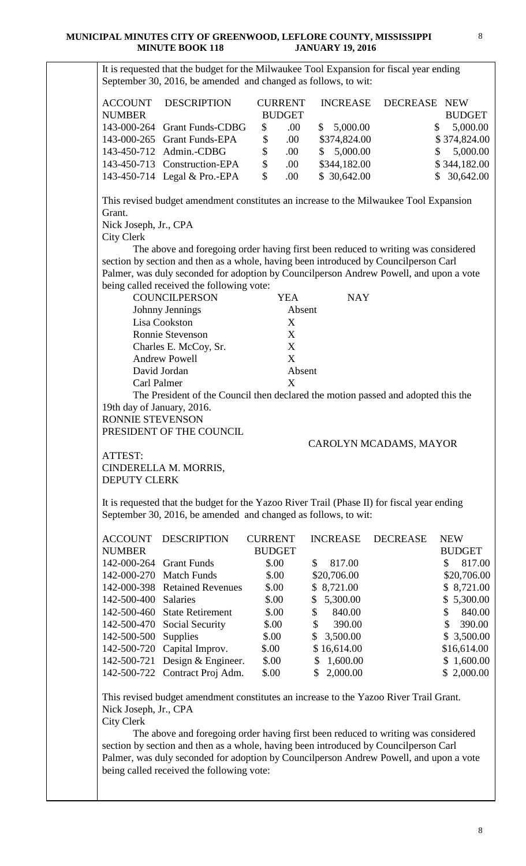It is requested that the budget for the Milwaukee Tool Expansion for fiscal year ending September 30, 2016, be amended and changed as follows, to wit: ACCOUNT DESCRIPTION CURRENT INCREASE DECREASE NEW NUMBER BUDGET BUDGET 143-000-264 Grant Funds-CDBG \$ .00 \$ 5,000.00 \$ 5,000.00 143-000-265 Grant Funds-EPA  $\$$  .00  $\$374,824.00$   $\$374,824.00$ 143-450-712 Admin.-CDBG \$ .00 \$ 5,000.00 \$ 5,000.00 143-450-713 Construction-EPA  $\$$  .00  $\$$ 344,182.00  $\$$  344,182.00 143-450-714 Legal & Pro.-EPA  $\qquad \qquad$  \$ .00  $\qquad \qquad$  \$ 30,642.00  $\qquad \qquad$  \$ 30,642.00 This revised budget amendment constitutes an increase to the Milwaukee Tool Expansion Grant. Nick Joseph, Jr., CPA City Clerk The above and foregoing order having first been reduced to writing was considered section by section and then as a whole, having been introduced by Councilperson Carl Palmer, was duly seconded for adoption by Councilperson Andrew Powell, and upon a vote being called received the following vote: COUNCILPERSON YEA NAY Johnny Jennings Absent Lisa Cookston X Ronnie Stevenson X Charles E. McCoy, Sr. X Andrew Powell X David Jordan Absent Carl Palmer X The President of the Council then declared the motion passed and adopted this the 19th day of January, 2016. RONNIE STEVENSON PRESIDENT OF THE COUNCIL CAROLYN MCADAMS, MAYOR ATTEST: CINDERELLA M. MORRIS, DEPUTY CLERK It is requested that the budget for the Yazoo River Trail (Phase II) for fiscal year ending September 30, 2016, be amended and changed as follows, to wit: ACCOUNT DESCRIPTION CURRENT INCREASE DECREASE NEW NUMBER BUDGET BUDGET 142-000-264 Grant Funds \$.00 \$ 817.00 \$ 817.00 142-000-270 Match Funds \$.00 \$20,706.00 \$20,706.00 142-000-398 Retained Revenues \$.00 \$ 8,721.00 \$ 8,721.00 142-500-400 Salaries \$.00 \$ 5,300.00 \$ 5,300.00 142-500-460 State Retirement \$.00 \$ 840.00 \$ 840.00 142-500-470 Social Security  $$.00$   $$.390.00$   $$.390.00$ 142-500-500 Supplies \$.00 \$ 3,500.00 \$ 3,500.00 142-500-720 Capital Improv. \$.00 \$ 16,614.00 \$16,614.00 142-500-721 Design & Engineer. \$.00 \$ 1,600.00 \$ 1,600.00 142-500-722 Contract Proj Adm. \$.00 \$ 2,000.00 \$ 2,000.00 This revised budget amendment constitutes an increase to the Yazoo River Trail Grant. Nick Joseph, Jr., CPA City Clerk The above and foregoing order having first been reduced to writing was considered section by section and then as a whole, having been introduced by Councilperson Carl Palmer, was duly seconded for adoption by Councilperson Andrew Powell, and upon a vote being called received the following vote: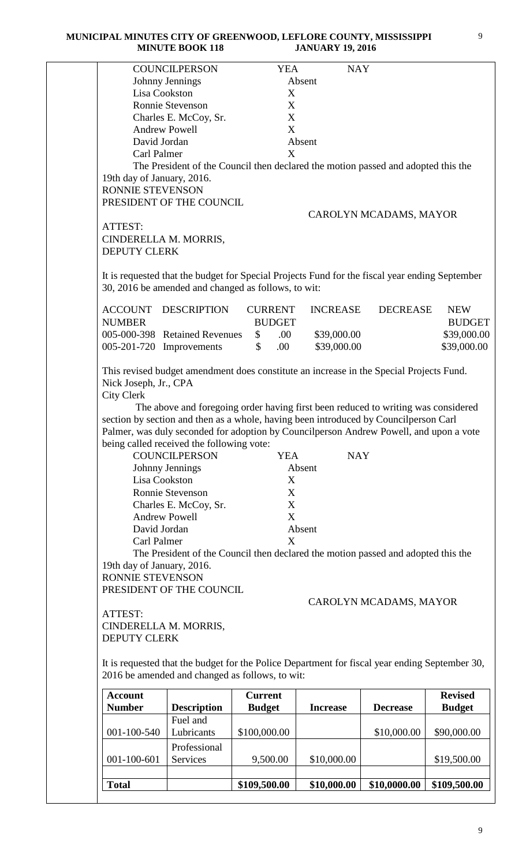|                                                | <b>COUNCILPERSON</b>                                                                                                                                  | <b>YEA</b>                 |                 | <b>NAY</b>             |                            |
|------------------------------------------------|-------------------------------------------------------------------------------------------------------------------------------------------------------|----------------------------|-----------------|------------------------|----------------------------|
|                                                | Johnny Jennings                                                                                                                                       |                            | Absent          |                        |                            |
|                                                | Lisa Cookston                                                                                                                                         | X                          |                 |                        |                            |
|                                                | Ronnie Stevenson                                                                                                                                      | X                          |                 |                        |                            |
|                                                | Charles E. McCoy, Sr.                                                                                                                                 | X                          |                 |                        |                            |
|                                                | <b>Andrew Powell</b>                                                                                                                                  | X                          |                 |                        |                            |
| David Jordan                                   |                                                                                                                                                       |                            | Absent          |                        |                            |
| Carl Palmer                                    |                                                                                                                                                       | X                          |                 |                        |                            |
| 19th day of January, 2016.<br>RONNIE STEVENSON | The President of the Council then declared the motion passed and adopted this the<br>PRESIDENT OF THE COUNCIL                                         |                            |                 |                        |                            |
|                                                |                                                                                                                                                       |                            |                 | CAROLYN MCADAMS, MAYOR |                            |
| ATTEST:<br><b>DEPUTY CLERK</b>                 | CINDERELLA M. MORRIS,                                                                                                                                 |                            |                 |                        |                            |
|                                                | It is requested that the budget for Special Projects Fund for the fiscal year ending September<br>30, 2016 be amended and changed as follows, to wit: |                            |                 |                        |                            |
| <b>ACCOUNT</b>                                 | <b>DESCRIPTION</b>                                                                                                                                    | <b>CURRENT</b>             | <b>INCREASE</b> | <b>DECREASE</b>        | <b>NEW</b>                 |
| <b>NUMBER</b>                                  | 005-000-398 Retained Revenues                                                                                                                         | <b>BUDGET</b><br>.00.      | \$39,000.00     |                        | <b>BUDGET</b>              |
|                                                | 005-201-720 Improvements                                                                                                                              | \$<br>$\mathbb{S}$<br>.00. | \$39,000.00     |                        | \$39,000.00<br>\$39,000.00 |
|                                                |                                                                                                                                                       |                            |                 |                        |                            |
| Nick Joseph, Jr., CPA                          | This revised budget amendment does constitute an increase in the Special Projects Fund.                                                               |                            |                 |                        |                            |
|                                                |                                                                                                                                                       |                            |                 |                        |                            |
|                                                |                                                                                                                                                       |                            |                 |                        |                            |
| <b>City Clerk</b>                              |                                                                                                                                                       |                            |                 |                        |                            |
|                                                | The above and foregoing order having first been reduced to writing was considered                                                                     |                            |                 |                        |                            |
|                                                | section by section and then as a whole, having been introduced by Councilperson Carl                                                                  |                            |                 |                        |                            |
|                                                | Palmer, was duly seconded for adoption by Councilperson Andrew Powell, and upon a vote                                                                |                            |                 |                        |                            |
|                                                | being called received the following vote:                                                                                                             |                            |                 |                        |                            |
|                                                | <b>COUNCILPERSON</b>                                                                                                                                  | <b>YEA</b>                 |                 | <b>NAY</b>             |                            |
|                                                | Johnny Jennings                                                                                                                                       |                            | Absent          |                        |                            |
|                                                | Lisa Cookston                                                                                                                                         | X                          |                 |                        |                            |
|                                                | Ronnie Stevenson                                                                                                                                      | X                          |                 |                        |                            |
|                                                | Charles E. McCoy, Sr.                                                                                                                                 | X                          |                 |                        |                            |
|                                                | <b>Andrew Powell</b>                                                                                                                                  | X                          |                 |                        |                            |
| David Jordan                                   |                                                                                                                                                       |                            | Absent          |                        |                            |
| <b>Carl Palmer</b>                             |                                                                                                                                                       | X                          |                 |                        |                            |
|                                                | The President of the Council then declared the motion passed and adopted this the                                                                     |                            |                 |                        |                            |
| 19th day of January, 2016.                     |                                                                                                                                                       |                            |                 |                        |                            |
| RONNIE STEVENSON                               |                                                                                                                                                       |                            |                 |                        |                            |
|                                                | PRESIDENT OF THE COUNCIL                                                                                                                              |                            |                 |                        |                            |
|                                                |                                                                                                                                                       |                            |                 | CAROLYN MCADAMS, MAYOR |                            |
| ATTEST:                                        |                                                                                                                                                       |                            |                 |                        |                            |
|                                                | CINDERELLA M. MORRIS,                                                                                                                                 |                            |                 |                        |                            |
| <b>DEPUTY CLERK</b>                            |                                                                                                                                                       |                            |                 |                        |                            |
|                                                |                                                                                                                                                       |                            |                 |                        |                            |
|                                                | It is requested that the budget for the Police Department for fiscal year ending September 30,                                                        |                            |                 |                        |                            |
|                                                | 2016 be amended and changed as follows, to wit:                                                                                                       |                            |                 |                        |                            |
| <b>Account</b>                                 |                                                                                                                                                       | <b>Current</b>             |                 |                        | <b>Revised</b>             |
| <b>Number</b>                                  | <b>Description</b>                                                                                                                                    | <b>Budget</b>              | <b>Increase</b> | <b>Decrease</b>        | <b>Budget</b>              |
|                                                | Fuel and                                                                                                                                              |                            |                 |                        |                            |
| 001-100-540                                    | Lubricants                                                                                                                                            | \$100,000.00               |                 | \$10,000.00            | \$90,000.00                |
|                                                | Professional                                                                                                                                          |                            |                 |                        |                            |
| $001 - 100 - 601$                              | Services                                                                                                                                              | 9,500.00                   | \$10,000.00     |                        | \$19,500.00                |
|                                                |                                                                                                                                                       |                            |                 |                        |                            |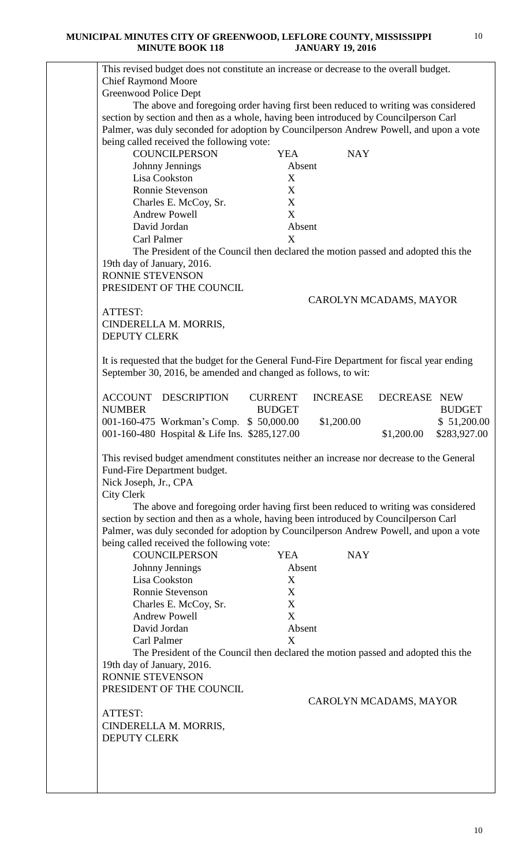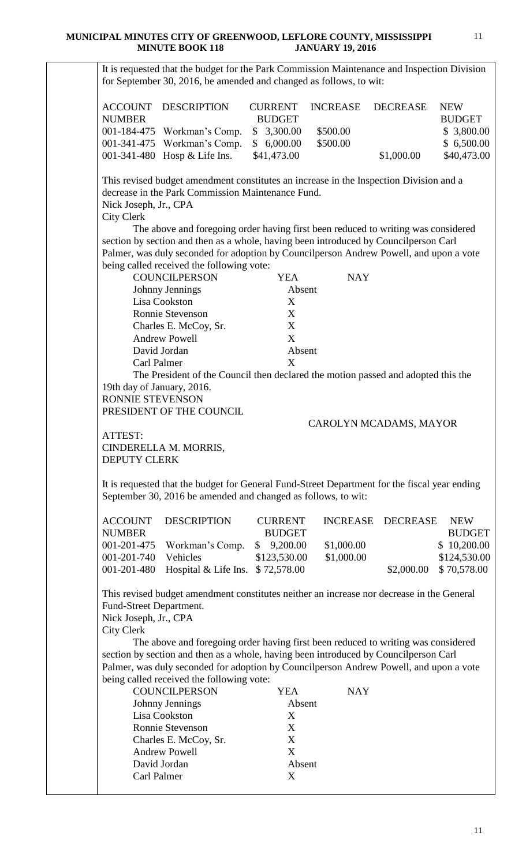It is requested that the budget for the Park Commission Maintenance and Inspection Division for September 30, 2016, be amended and changed as follows, to wit: ACCOUNT DESCRIPTION CURRENT INCREASE DECREASE NEW NUMBER BUDGET BUDGET 001-184-475 Workman's Comp. \$ 3,300.00 \$500.00 \$ 3,800.00 001-341-475 Workman's Comp. \$ 6,000.00 \$500.00 \$ 6,500.00 001-341-480 Hosp & Life Ins. \$41,473.00 \$1,000.00 \$40,473.00 This revised budget amendment constitutes an increase in the Inspection Division and a decrease in the Park Commission Maintenance Fund. Nick Joseph, Jr., CPA City Clerk The above and foregoing order having first been reduced to writing was considered section by section and then as a whole, having been introduced by Councilperson Carl Palmer, was duly seconded for adoption by Councilperson Andrew Powell, and upon a vote being called received the following vote: COUNCILPERSON YEA NAY Johnny Jennings Absent Lisa Cookston X Ronnie Stevenson X Charles E. McCoy, Sr. X Andrew Powell X David Jordan Absent Carl Palmer X The President of the Council then declared the motion passed and adopted this the 19th day of January, 2016. RONNIE STEVENSON PRESIDENT OF THE COUNCIL CAROLYN MCADAMS, MAYOR ATTEST: CINDERELLA M. MORRIS, DEPUTY CLERK It is requested that the budget for General Fund-Street Department for the fiscal year ending September 30, 2016 be amended and changed as follows, to wit: ACCOUNT DESCRIPTION CURRENT INCREASE DECREASE NEW NUMBER BUDGET BUDGET 001-201-475 Workman's Comp. \$ 9,200.00 \$1,000.00 \$ 10,200.00 001-201-740 Vehicles \$123,530.00 \$1,000.00 \$124,530.00 001-201-480 Hospital & Life Ins.  $$72,578.00$   $$2,000.00$   $$70,578.00$ This revised budget amendment constitutes neither an increase nor decrease in the General Fund-Street Department. Nick Joseph, Jr., CPA City Clerk The above and foregoing order having first been reduced to writing was considered section by section and then as a whole, having been introduced by Councilperson Carl Palmer, was duly seconded for adoption by Councilperson Andrew Powell, and upon a vote being called received the following vote: COUNCILPERSON YEA NAY Johnny Jennings Absent Lisa Cookston X Ronnie Stevenson X Charles E. McCoy, Sr. X Andrew Powell X David Jordan Absent Carl Palmer X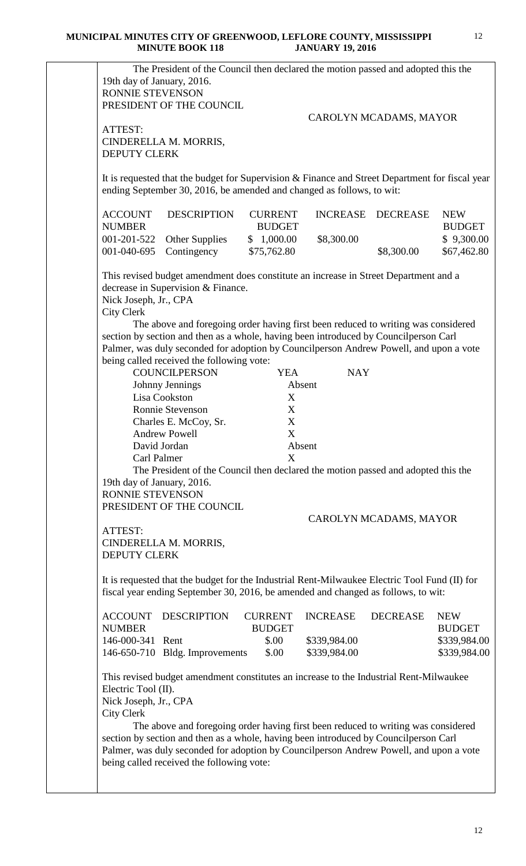| 19th day of January, 2016.<br><b>RONNIE STEVENSON</b>             | The President of the Council then declared the motion passed and adopted this the<br>PRESIDENT OF THE COUNCIL                                                                                                                                                       |                                 |                              |                        |                              |
|-------------------------------------------------------------------|---------------------------------------------------------------------------------------------------------------------------------------------------------------------------------------------------------------------------------------------------------------------|---------------------------------|------------------------------|------------------------|------------------------------|
|                                                                   |                                                                                                                                                                                                                                                                     |                                 |                              | CAROLYN MCADAMS, MAYOR |                              |
| ATTEST:<br><b>DEPUTY CLERK</b>                                    | CINDERELLA M. MORRIS,                                                                                                                                                                                                                                               |                                 |                              |                        |                              |
|                                                                   | It is requested that the budget for Supervision & Finance and Street Department for fiscal year<br>ending September 30, 2016, be amended and changed as follows, to wit:                                                                                            |                                 |                              |                        |                              |
| <b>ACCOUNT</b><br><b>NUMBER</b>                                   | <b>DESCRIPTION</b>                                                                                                                                                                                                                                                  | <b>CURRENT</b><br><b>BUDGET</b> | <b>INCREASE</b>              | <b>DECREASE</b>        | <b>NEW</b><br><b>BUDGET</b>  |
| 001-201-522<br>001-040-695                                        | Other Supplies<br>Contingency                                                                                                                                                                                                                                       | \$1,000.00<br>\$75,762.80       | \$8,300.00                   | \$8,300.00             | \$9,300.00<br>\$67,462.80    |
| Nick Joseph, Jr., CPA<br><b>City Clerk</b>                        | This revised budget amendment does constitute an increase in Street Department and a<br>decrease in Supervision & Finance.                                                                                                                                          |                                 |                              |                        |                              |
|                                                                   | The above and foregoing order having first been reduced to writing was considered<br>section by section and then as a whole, having been introduced by Councilperson Carl<br>Palmer, was duly seconded for adoption by Councilperson Andrew Powell, and upon a vote |                                 |                              |                        |                              |
|                                                                   | being called received the following vote:<br><b>COUNCILPERSON</b>                                                                                                                                                                                                   | <b>YEA</b>                      | <b>NAY</b>                   |                        |                              |
|                                                                   | Johnny Jennings                                                                                                                                                                                                                                                     |                                 | Absent                       |                        |                              |
|                                                                   | Lisa Cookston<br>Ronnie Stevenson                                                                                                                                                                                                                                   | X<br>X                          |                              |                        |                              |
|                                                                   | Charles E. McCoy, Sr.                                                                                                                                                                                                                                               | X                               |                              |                        |                              |
|                                                                   | <b>Andrew Powell</b>                                                                                                                                                                                                                                                | X                               |                              |                        |                              |
|                                                                   | David Jordan                                                                                                                                                                                                                                                        |                                 | Absent                       |                        |                              |
| Carl Palmer                                                       |                                                                                                                                                                                                                                                                     | X                               |                              |                        |                              |
| 19th day of January, 2016.                                        | The President of the Council then declared the motion passed and adopted this the                                                                                                                                                                                   |                                 |                              |                        |                              |
| <b>RONNIE STEVENSON</b>                                           |                                                                                                                                                                                                                                                                     |                                 |                              |                        |                              |
|                                                                   | PRESIDENT OF THE COUNCIL                                                                                                                                                                                                                                            |                                 |                              |                        |                              |
| ATTEST:                                                           |                                                                                                                                                                                                                                                                     |                                 |                              | CAROLYN MCADAMS, MAYOR |                              |
| <b>DEPUTY CLERK</b>                                               | CINDERELLA M. MORRIS,                                                                                                                                                                                                                                               |                                 |                              |                        |                              |
|                                                                   | It is requested that the budget for the Industrial Rent-Milwaukee Electric Tool Fund (II) for<br>fiscal year ending September 30, 2016, be amended and changed as follows, to wit:                                                                                  |                                 |                              |                        |                              |
| <b>ACCOUNT</b><br><b>NUMBER</b>                                   | <b>DESCRIPTION</b>                                                                                                                                                                                                                                                  | <b>CURRENT</b><br><b>BUDGET</b> | <b>INCREASE</b>              | <b>DECREASE</b>        | <b>NEW</b><br><b>BUDGET</b>  |
| 146-000-341 Rent                                                  | 146-650-710 Bldg. Improvements                                                                                                                                                                                                                                      | \$.00<br>\$.00                  | \$339,984.00<br>\$339,984.00 |                        | \$339,984.00<br>\$339,984.00 |
| Electric Tool (II).<br>Nick Joseph, Jr., CPA<br><b>City Clerk</b> | This revised budget amendment constitutes an increase to the Industrial Rent-Milwaukee<br>The above and foregoing order having first been reduced to writing was considered                                                                                         |                                 |                              |                        |                              |
|                                                                   | section by section and then as a whole, having been introduced by Councilperson Carl<br>Palmer, was duly seconded for adoption by Councilperson Andrew Powell, and upon a vote<br>being called received the following vote:                                         |                                 |                              |                        |                              |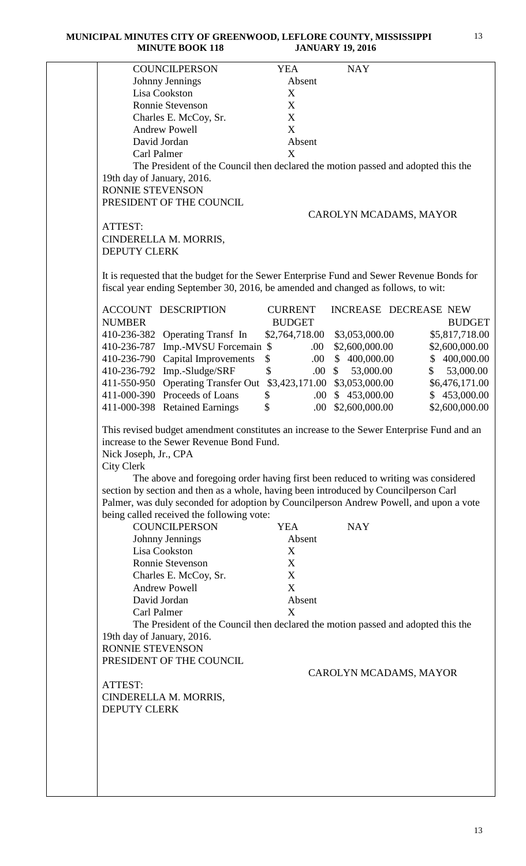| <b>COUNCILPERSON</b>                                                                                                                                                                                                                                                                                                                                           | <b>YEA</b>     | <b>NAY</b>             |                 |
|----------------------------------------------------------------------------------------------------------------------------------------------------------------------------------------------------------------------------------------------------------------------------------------------------------------------------------------------------------------|----------------|------------------------|-----------------|
| Johnny Jennings                                                                                                                                                                                                                                                                                                                                                | Absent         |                        |                 |
| Lisa Cookston                                                                                                                                                                                                                                                                                                                                                  | X              |                        |                 |
| Ronnie Stevenson                                                                                                                                                                                                                                                                                                                                               | X              |                        |                 |
| Charles E. McCoy, Sr.                                                                                                                                                                                                                                                                                                                                          | X              |                        |                 |
| <b>Andrew Powell</b>                                                                                                                                                                                                                                                                                                                                           | X              |                        |                 |
| David Jordan                                                                                                                                                                                                                                                                                                                                                   | Absent         |                        |                 |
| Carl Palmer                                                                                                                                                                                                                                                                                                                                                    | X              |                        |                 |
| The President of the Council then declared the motion passed and adopted this the                                                                                                                                                                                                                                                                              |                |                        |                 |
| 19th day of January, 2016.                                                                                                                                                                                                                                                                                                                                     |                |                        |                 |
| RONNIE STEVENSON                                                                                                                                                                                                                                                                                                                                               |                |                        |                 |
| PRESIDENT OF THE COUNCIL                                                                                                                                                                                                                                                                                                                                       |                |                        |                 |
|                                                                                                                                                                                                                                                                                                                                                                |                | CAROLYN MCADAMS, MAYOR |                 |
| ATTEST:                                                                                                                                                                                                                                                                                                                                                        |                |                        |                 |
| CINDERELLA M. MORRIS,                                                                                                                                                                                                                                                                                                                                          |                |                        |                 |
| <b>DEPUTY CLERK</b>                                                                                                                                                                                                                                                                                                                                            |                |                        |                 |
| It is requested that the budget for the Sewer Enterprise Fund and Sewer Revenue Bonds for<br>fiscal year ending September 30, 2016, be amended and changed as follows, to wit:                                                                                                                                                                                 |                |                        |                 |
| <b>ACCOUNT DESCRIPTION</b>                                                                                                                                                                                                                                                                                                                                     | <b>CURRENT</b> | INCREASE DECREASE NEW  |                 |
| <b>NUMBER</b>                                                                                                                                                                                                                                                                                                                                                  | <b>BUDGET</b>  |                        | <b>BUDGET</b>   |
| 410-236-382 Operating Transf In                                                                                                                                                                                                                                                                                                                                | \$2,764,718.00 | \$3,053,000.00         | \$5,817,718.00  |
| 410-236-787 Imp.-MVSU Forcemain \$                                                                                                                                                                                                                                                                                                                             | .00.           | \$2,600,000.00         | \$2,600,000.00  |
| 410-236-790 Capital Improvements                                                                                                                                                                                                                                                                                                                               | \$<br>.00.     | \$400,000.00           | \$400,000.00    |
| 410-236-792 Imp.-Sludge/SRF                                                                                                                                                                                                                                                                                                                                    | \$<br>.00      | 53,000.00<br>\$        | 53,000.00<br>\$ |
| 411-550-950 Operating Transfer Out                                                                                                                                                                                                                                                                                                                             | \$3,423,171.00 | \$3,053,000.00         | \$6,476,171.00  |
| 411-000-390 Proceeds of Loans                                                                                                                                                                                                                                                                                                                                  | \$<br>.00.     | \$453,000.00           | \$453,000.00    |
| 411-000-398 Retained Earnings                                                                                                                                                                                                                                                                                                                                  | \$<br>.00.     | \$2,600,000.00         | \$2,600,000.00  |
| Nick Joseph, Jr., CPA<br><b>City Clerk</b><br>The above and foregoing order having first been reduced to writing was considered<br>section by section and then as a whole, having been introduced by Councilperson Carl<br>Palmer, was duly seconded for adoption by Councilperson Andrew Powell, and upon a vote<br>being called received the following vote: |                |                        |                 |
| <b>COUNCILPERSON</b>                                                                                                                                                                                                                                                                                                                                           | <b>YEA</b>     | <b>NAY</b>             |                 |
| Johnny Jennings                                                                                                                                                                                                                                                                                                                                                | Absent         |                        |                 |
| Lisa Cookston                                                                                                                                                                                                                                                                                                                                                  | X              |                        |                 |
|                                                                                                                                                                                                                                                                                                                                                                |                |                        |                 |
| Ronnie Stevenson                                                                                                                                                                                                                                                                                                                                               | X              |                        |                 |
| Charles E. McCoy, Sr.                                                                                                                                                                                                                                                                                                                                          | X              |                        |                 |
| <b>Andrew Powell</b>                                                                                                                                                                                                                                                                                                                                           | X              |                        |                 |
| David Jordan                                                                                                                                                                                                                                                                                                                                                   | Absent         |                        |                 |
| Carl Palmer                                                                                                                                                                                                                                                                                                                                                    | X              |                        |                 |
| The President of the Council then declared the motion passed and adopted this the                                                                                                                                                                                                                                                                              |                |                        |                 |
| 19th day of January, 2016.                                                                                                                                                                                                                                                                                                                                     |                |                        |                 |
| RONNIE STEVENSON                                                                                                                                                                                                                                                                                                                                               |                |                        |                 |
| PRESIDENT OF THE COUNCIL                                                                                                                                                                                                                                                                                                                                       |                |                        |                 |
|                                                                                                                                                                                                                                                                                                                                                                |                | CAROLYN MCADAMS, MAYOR |                 |
| ATTEST:                                                                                                                                                                                                                                                                                                                                                        |                |                        |                 |
| CINDERELLA M. MORRIS,                                                                                                                                                                                                                                                                                                                                          |                |                        |                 |
| <b>DEPUTY CLERK</b>                                                                                                                                                                                                                                                                                                                                            |                |                        |                 |
|                                                                                                                                                                                                                                                                                                                                                                |                |                        |                 |
|                                                                                                                                                                                                                                                                                                                                                                |                |                        |                 |
|                                                                                                                                                                                                                                                                                                                                                                |                |                        |                 |
|                                                                                                                                                                                                                                                                                                                                                                |                |                        |                 |
|                                                                                                                                                                                                                                                                                                                                                                |                |                        |                 |
|                                                                                                                                                                                                                                                                                                                                                                |                |                        |                 |
|                                                                                                                                                                                                                                                                                                                                                                |                |                        |                 |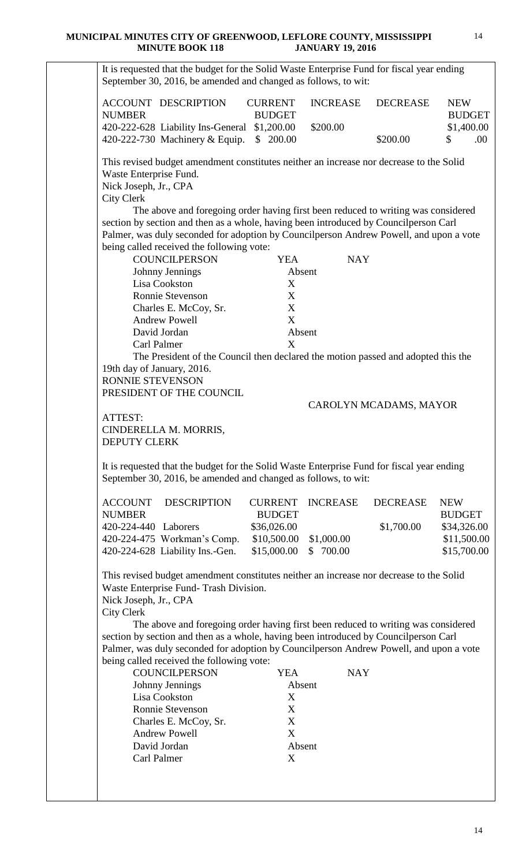| It is requested that the budget for the Solid Waste Enterprise Fund for fiscal year ending                                                                                     |                                 |                        |                        |                             |
|--------------------------------------------------------------------------------------------------------------------------------------------------------------------------------|---------------------------------|------------------------|------------------------|-----------------------------|
| September 30, 2016, be amended and changed as follows, to wit:                                                                                                                 |                                 |                        |                        |                             |
| <b>ACCOUNT DESCRIPTION</b><br><b>NUMBER</b>                                                                                                                                    | <b>CURRENT</b><br><b>BUDGET</b> | <b>INCREASE</b>        | <b>DECREASE</b>        | <b>NEW</b><br><b>BUDGET</b> |
| 420-222-628 Liability Ins-General \$1,200.00<br>420-222-730 Machinery & Equip.                                                                                                 | \$200.00                        | \$200.00               | \$200.00               | \$1,400.00<br>.00<br>\$     |
| This revised budget amendment constitutes neither an increase nor decrease to the Solid                                                                                        |                                 |                        |                        |                             |
| Waste Enterprise Fund.<br>Nick Joseph, Jr., CPA                                                                                                                                |                                 |                        |                        |                             |
| <b>City Clerk</b><br>The above and foregoing order having first been reduced to writing was considered                                                                         |                                 |                        |                        |                             |
| section by section and then as a whole, having been introduced by Councilperson Carl<br>Palmer, was duly seconded for adoption by Councilperson Andrew Powell, and upon a vote |                                 |                        |                        |                             |
| being called received the following vote:<br><b>COUNCILPERSON</b>                                                                                                              | <b>YEA</b>                      | <b>NAY</b>             |                        |                             |
| Johnny Jennings                                                                                                                                                                | Absent                          |                        |                        |                             |
| Lisa Cookston<br>Ronnie Stevenson                                                                                                                                              | X<br>X                          |                        |                        |                             |
| Charles E. McCoy, Sr.                                                                                                                                                          | X                               |                        |                        |                             |
| <b>Andrew Powell</b><br>David Jordan                                                                                                                                           | X<br>Absent                     |                        |                        |                             |
| Carl Palmer                                                                                                                                                                    | X                               |                        |                        |                             |
| The President of the Council then declared the motion passed and adopted this the<br>19th day of January, 2016.                                                                |                                 |                        |                        |                             |
| <b>RONNIE STEVENSON</b><br>PRESIDENT OF THE COUNCIL                                                                                                                            |                                 |                        |                        |                             |
|                                                                                                                                                                                |                                 |                        | CAROLYN MCADAMS, MAYOR |                             |
| ATTEST:<br>CINDERELLA M. MORRIS,                                                                                                                                               |                                 |                        |                        |                             |
| <b>DEPUTY CLERK</b>                                                                                                                                                            |                                 |                        |                        |                             |
| It is requested that the budget for the Solid Waste Enterprise Fund for fiscal year ending<br>September 30, 2016, be amended and changed as follows, to wit:                   |                                 |                        |                        |                             |
| <b>ACCOUNT</b><br><b>DESCRIPTION</b><br><b>NUMBER</b>                                                                                                                          | <b>CURRENT</b><br><b>BUDGET</b> | <b>INCREASE</b>        | <b>DECREASE</b>        | <b>NEW</b><br><b>BUDGET</b> |
| 420-224-440 Laborers<br>420-224-475 Workman's Comp.                                                                                                                            | \$36,026.00                     |                        | \$1,700.00             | \$34,326.00<br>\$11,500.00  |
| 420-224-628 Liability Ins.-Gen.                                                                                                                                                | \$10,500.00<br>\$15,000.00      | \$1,000.00<br>\$700.00 |                        | \$15,700.00                 |
| This revised budget amendment constitutes neither an increase nor decrease to the Solid<br>Waste Enterprise Fund- Trash Division.                                              |                                 |                        |                        |                             |
| Nick Joseph, Jr., CPA                                                                                                                                                          |                                 |                        |                        |                             |
| <b>City Clerk</b><br>The above and foregoing order having first been reduced to writing was considered                                                                         |                                 |                        |                        |                             |
| section by section and then as a whole, having been introduced by Councilperson Carl                                                                                           |                                 |                        |                        |                             |
| Palmer, was duly seconded for adoption by Councilperson Andrew Powell, and upon a vote<br>being called received the following vote:                                            |                                 |                        |                        |                             |
| <b>COUNCILPERSON</b>                                                                                                                                                           | <b>YEA</b>                      | <b>NAY</b>             |                        |                             |
| Johnny Jennings<br>Lisa Cookston                                                                                                                                               | Absent<br>X                     |                        |                        |                             |
| Ronnie Stevenson                                                                                                                                                               | X                               |                        |                        |                             |
| Charles E. McCoy, Sr.<br><b>Andrew Powell</b>                                                                                                                                  | X<br>X                          |                        |                        |                             |
| David Jordan                                                                                                                                                                   | Absent                          |                        |                        |                             |
| Carl Palmer                                                                                                                                                                    | X                               |                        |                        |                             |
|                                                                                                                                                                                |                                 |                        |                        |                             |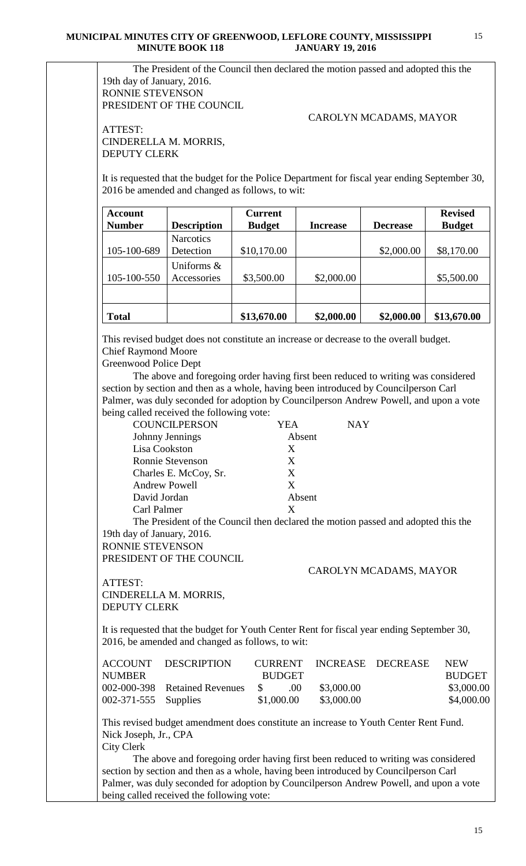The President of the Council then declared the motion passed and adopted this the 19th day of January, 2016. RONNIE STEVENSON PRESIDENT OF THE COUNCIL

## CAROLYN MCADAMS, MAYOR

ATTEST: CINDERELLA M. MORRIS, DEPUTY CLERK

It is requested that the budget for the Police Department for fiscal year ending September 30, 2016 be amended and changed as follows, to wit:

| <b>Account</b><br><b>Number</b> | <b>Description</b>            | <b>Current</b><br><b>Budget</b> | <b>Increase</b> | <b>Decrease</b> | <b>Revised</b><br><b>Budget</b> |
|---------------------------------|-------------------------------|---------------------------------|-----------------|-----------------|---------------------------------|
| 105-100-689                     | <b>Narcotics</b><br>Detection | \$10,170.00                     |                 | \$2,000.00      | \$8,170.00                      |
|                                 | Uniforms $\&$                 |                                 |                 |                 |                                 |
| 105-100-550                     | Accessories                   | \$3,500.00                      | \$2,000.00      |                 | \$5,500.00                      |
| <b>Total</b>                    |                               | \$13,670.00                     | \$2,000.00      | \$2,000.00      | \$13,670.00                     |

This revised budget does not constitute an increase or decrease to the overall budget. Chief Raymond Moore

Greenwood Police Dept

 The above and foregoing order having first been reduced to writing was considered section by section and then as a whole, having been introduced by Councilperson Carl Palmer, was duly seconded for adoption by Councilperson Andrew Powell, and upon a vote being called received the following vote:

| <b>COUNCILPERSON</b>    | YEA    | NAY |
|-------------------------|--------|-----|
| Johnny Jennings         | Absent |     |
| Lisa Cookston           | X      |     |
| <b>Ronnie Stevenson</b> | X      |     |
| Charles E. McCoy, Sr.   | X      |     |
| <b>Andrew Powell</b>    | X      |     |
| David Jordan            | Absent |     |
| Carl Palmer             | X      |     |

The President of the Council then declared the motion passed and adopted this the 19th day of January, 2016.

RONNIE STEVENSON

PRESIDENT OF THE COUNCIL.

CAROLYN MCADAMS, MAYOR

ATTEST: CINDERELLA M. MORRIS, DEPUTY CLERK

It is requested that the budget for Youth Center Rent for fiscal year ending September 30, 2016, be amended and changed as follows, to wit:

|                        | ACCOUNT DESCRIPTION           |               | CURRENT INCREASE DECREASE | <b>NEW</b>    |
|------------------------|-------------------------------|---------------|---------------------------|---------------|
| <b>NUMBER</b>          |                               | <b>BUDGET</b> |                           | <b>BUDGET</b> |
|                        | 002-000-398 Retained Revenues | $\sim$ 5 00   | \$3,000.00                | \$3,000.00    |
| $002-371-555$ Supplies |                               | \$1,000.00    | \$3,000.00                | \$4,000.00    |

This revised budget amendment does constitute an increase to Youth Center Rent Fund. Nick Joseph, Jr., CPA City Clerk

The above and foregoing order having first been reduced to writing was considered section by section and then as a whole, having been introduced by Councilperson Carl Palmer, was duly seconded for adoption by Councilperson Andrew Powell, and upon a vote being called received the following vote: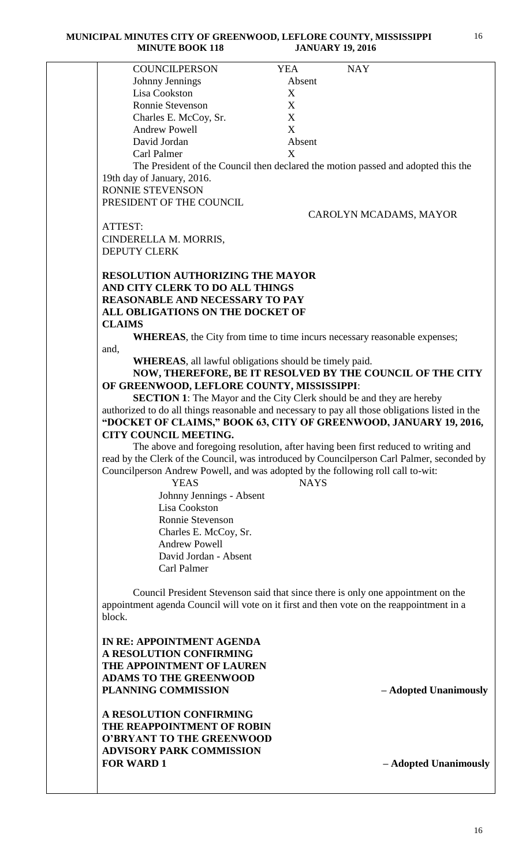| MINUTE DUUN 110                                                                                 | JANUART 17, 4010 |                                                                                    |
|-------------------------------------------------------------------------------------------------|------------------|------------------------------------------------------------------------------------|
| <b>COUNCILPERSON</b>                                                                            | <b>YEA</b>       | <b>NAY</b>                                                                         |
| Johnny Jennings                                                                                 | Absent           |                                                                                    |
| Lisa Cookston                                                                                   | X                |                                                                                    |
| Ronnie Stevenson                                                                                | X                |                                                                                    |
| Charles E. McCoy, Sr.                                                                           | X                |                                                                                    |
| <b>Andrew Powell</b>                                                                            | X                |                                                                                    |
| David Jordan                                                                                    | Absent           |                                                                                    |
| Carl Palmer                                                                                     | X                |                                                                                    |
|                                                                                                 |                  |                                                                                    |
|                                                                                                 |                  | The President of the Council then declared the motion passed and adopted this the  |
| 19th day of January, 2016.                                                                      |                  |                                                                                    |
| RONNIE STEVENSON                                                                                |                  |                                                                                    |
| PRESIDENT OF THE COUNCIL                                                                        |                  |                                                                                    |
|                                                                                                 |                  | CAROLYN MCADAMS, MAYOR                                                             |
| ATTEST:                                                                                         |                  |                                                                                    |
| CINDERELLA M. MORRIS,                                                                           |                  |                                                                                    |
| <b>DEPUTY CLERK</b>                                                                             |                  |                                                                                    |
|                                                                                                 |                  |                                                                                    |
| <b>RESOLUTION AUTHORIZING THE MAYOR</b>                                                         |                  |                                                                                    |
| AND CITY CLERK TO DO ALL THINGS                                                                 |                  |                                                                                    |
| <b>REASONABLE AND NECESSARY TO PAY</b>                                                          |                  |                                                                                    |
| ALL OBLIGATIONS ON THE DOCKET OF                                                                |                  |                                                                                    |
| <b>CLAIMS</b>                                                                                   |                  |                                                                                    |
| <b>WHEREAS</b> , the City from time to time incurs necessary reasonable expenses;               |                  |                                                                                    |
| and,                                                                                            |                  |                                                                                    |
| <b>WHEREAS</b> , all lawful obligations should be timely paid.                                  |                  |                                                                                    |
|                                                                                                 |                  | NOW, THEREFORE, BE IT RESOLVED BY THE COUNCIL OF THE CITY                          |
| OF GREENWOOD, LEFLORE COUNTY, MISSISSIPPI:                                                      |                  |                                                                                    |
| <b>SECTION 1:</b> The Mayor and the City Clerk should be and they are hereby                    |                  |                                                                                    |
| authorized to do all things reasonable and necessary to pay all those obligations listed in the |                  |                                                                                    |
| "DOCKET OF CLAIMS," BOOK 63, CITY OF GREENWOOD, JANUARY 19, 2016,                               |                  |                                                                                    |
| CITY COUNCIL MEETING.                                                                           |                  |                                                                                    |
|                                                                                                 |                  | The above and foregoing resolution, after having been first reduced to writing and |
| read by the Clerk of the Council, was introduced by Councilperson Carl Palmer, seconded by      |                  |                                                                                    |
| Councilperson Andrew Powell, and was adopted by the following roll call to-wit:                 |                  |                                                                                    |
| <b>YEAS</b>                                                                                     | <b>NAYS</b>      |                                                                                    |
| Johnny Jennings - Absent                                                                        |                  |                                                                                    |
| Lisa Cookston                                                                                   |                  |                                                                                    |
|                                                                                                 |                  |                                                                                    |
| Ronnie Stevenson                                                                                |                  |                                                                                    |
| Charles E. McCoy, Sr.                                                                           |                  |                                                                                    |
| <b>Andrew Powell</b>                                                                            |                  |                                                                                    |
| David Jordan - Absent                                                                           |                  |                                                                                    |
| Carl Palmer                                                                                     |                  |                                                                                    |
|                                                                                                 |                  |                                                                                    |
| Council President Stevenson said that since there is only one appointment on the                |                  |                                                                                    |
| appointment agenda Council will vote on it first and then vote on the reappointment in a        |                  |                                                                                    |
| block.                                                                                          |                  |                                                                                    |
|                                                                                                 |                  |                                                                                    |
| IN RE: APPOINTMENT AGENDA                                                                       |                  |                                                                                    |
| A RESOLUTION CONFIRMING                                                                         |                  |                                                                                    |
| THE APPOINTMENT OF LAUREN                                                                       |                  |                                                                                    |
| <b>ADAMS TO THE GREENWOOD</b>                                                                   |                  |                                                                                    |
| <b>PLANNING COMMISSION</b>                                                                      |                  | - Adopted Unanimously                                                              |
|                                                                                                 |                  |                                                                                    |
| A RESOLUTION CONFIRMING                                                                         |                  |                                                                                    |
| THE REAPPOINTMENT OF ROBIN                                                                      |                  |                                                                                    |
| <b>O'BRYANT TO THE GREENWOOD</b>                                                                |                  |                                                                                    |
| <b>ADVISORY PARK COMMISSION</b>                                                                 |                  |                                                                                    |

**FOR WARD 1 – Adopted Unanimously**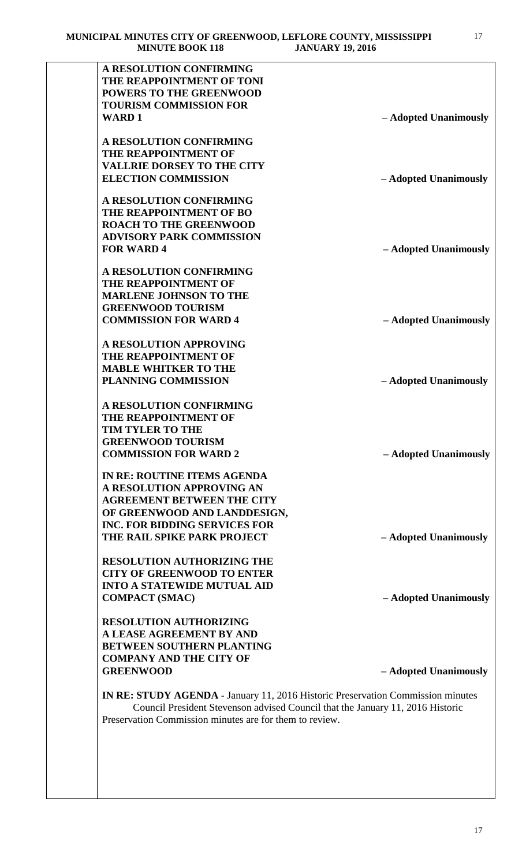| THE REAPPOINTMENT OF TONI                                                       |                       |
|---------------------------------------------------------------------------------|-----------------------|
| <b>POWERS TO THE GREENWOOD</b>                                                  |                       |
| <b>TOURISM COMMISSION FOR</b>                                                   |                       |
| <b>WARD1</b>                                                                    | - Adopted Unanimously |
| A RESOLUTION CONFIRMING                                                         |                       |
| THE REAPPOINTMENT OF                                                            |                       |
| <b>VALLRIE DORSEY TO THE CITY</b>                                               |                       |
| <b>ELECTION COMMISSION</b>                                                      | - Adopted Unanimously |
| <b>A RESOLUTION CONFIRMING</b>                                                  |                       |
| <b>THE REAPPOINTMENT OF BO</b>                                                  |                       |
| <b>ROACH TO THE GREENWOOD</b>                                                   |                       |
| <b>ADVISORY PARK COMMISSION</b>                                                 |                       |
| <b>FOR WARD 4</b>                                                               | - Adopted Unanimously |
| A RESOLUTION CONFIRMING                                                         |                       |
| THE REAPPOINTMENT OF                                                            |                       |
| <b>MARLENE JOHNSON TO THE</b>                                                   |                       |
| <b>GREENWOOD TOURISM</b>                                                        |                       |
| <b>COMMISSION FOR WARD 4</b>                                                    | - Adopted Unanimously |
| <b>A RESOLUTION APPROVING</b>                                                   |                       |
| THE REAPPOINTMENT OF                                                            |                       |
| <b>MABLE WHITKER TO THE</b>                                                     |                       |
| <b>PLANNING COMMISSION</b>                                                      | - Adopted Unanimously |
| A RESOLUTION CONFIRMING                                                         |                       |
| <b>THE REAPPOINTMENT OF</b>                                                     |                       |
| <b>TIM TYLER TO THE</b>                                                         |                       |
| <b>GREENWOOD TOURISM</b>                                                        |                       |
| <b>COMMISSION FOR WARD 2</b>                                                    | - Adopted Unanimously |
| IN RE: ROUTINE ITEMS AGENDA                                                     |                       |
| A RESOLUTION APPROVING AN                                                       |                       |
| <b>AGREEMENT BETWEEN THE CITY</b>                                               |                       |
| OF GREENWOOD AND LANDDESIGN,                                                    |                       |
| <b>INC. FOR BIDDING SERVICES FOR</b><br>THE RAIL SPIKE PARK PROJECT             |                       |
|                                                                                 | - Adopted Unanimously |
| <b>RESOLUTION AUTHORIZING THE</b>                                               |                       |
| <b>CITY OF GREENWOOD TO ENTER</b>                                               |                       |
| <b>INTO A STATEWIDE MUTUAL AID</b>                                              |                       |
| <b>COMPACT (SMAC)</b>                                                           | - Adopted Unanimously |
| <b>RESOLUTION AUTHORIZING</b>                                                   |                       |
| A LEASE AGREEMENT BY AND                                                        |                       |
| <b>BETWEEN SOUTHERN PLANTING</b>                                                |                       |
| <b>COMPANY AND THE CITY OF</b>                                                  |                       |
| <b>GREENWOOD</b>                                                                | - Adopted Unanimously |
| IN RE: STUDY AGENDA - January 11, 2016 Historic Preservation Commission minutes |                       |
| Council President Stevenson advised Council that the January 11, 2016 Historic  |                       |
| Preservation Commission minutes are for them to review.                         |                       |

17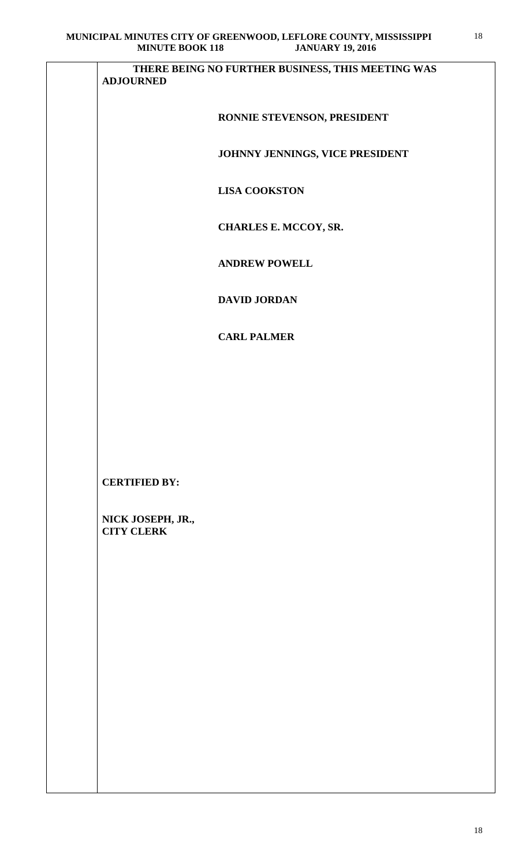| MINUTE DOOR 110                        | JANUANI 19, 2010                                  |
|----------------------------------------|---------------------------------------------------|
| <b>ADJOURNED</b>                       | THERE BEING NO FURTHER BUSINESS, THIS MEETING WAS |
|                                        | RONNIE STEVENSON, PRESIDENT                       |
|                                        | JOHNNY JENNINGS, VICE PRESIDENT                   |
|                                        | <b>LISA COOKSTON</b>                              |
|                                        | CHARLES E. MCCOY, SR.                             |
|                                        | <b>ANDREW POWELL</b>                              |
|                                        | <b>DAVID JORDAN</b>                               |
|                                        | <b>CARL PALMER</b>                                |
|                                        |                                                   |
|                                        |                                                   |
|                                        |                                                   |
| <b>CERTIFIED BY:</b>                   |                                                   |
| NICK JOSEPH, JR.,<br><b>CITY CLERK</b> |                                                   |
|                                        |                                                   |
|                                        |                                                   |
|                                        |                                                   |
|                                        |                                                   |
|                                        |                                                   |
|                                        |                                                   |
|                                        |                                                   |